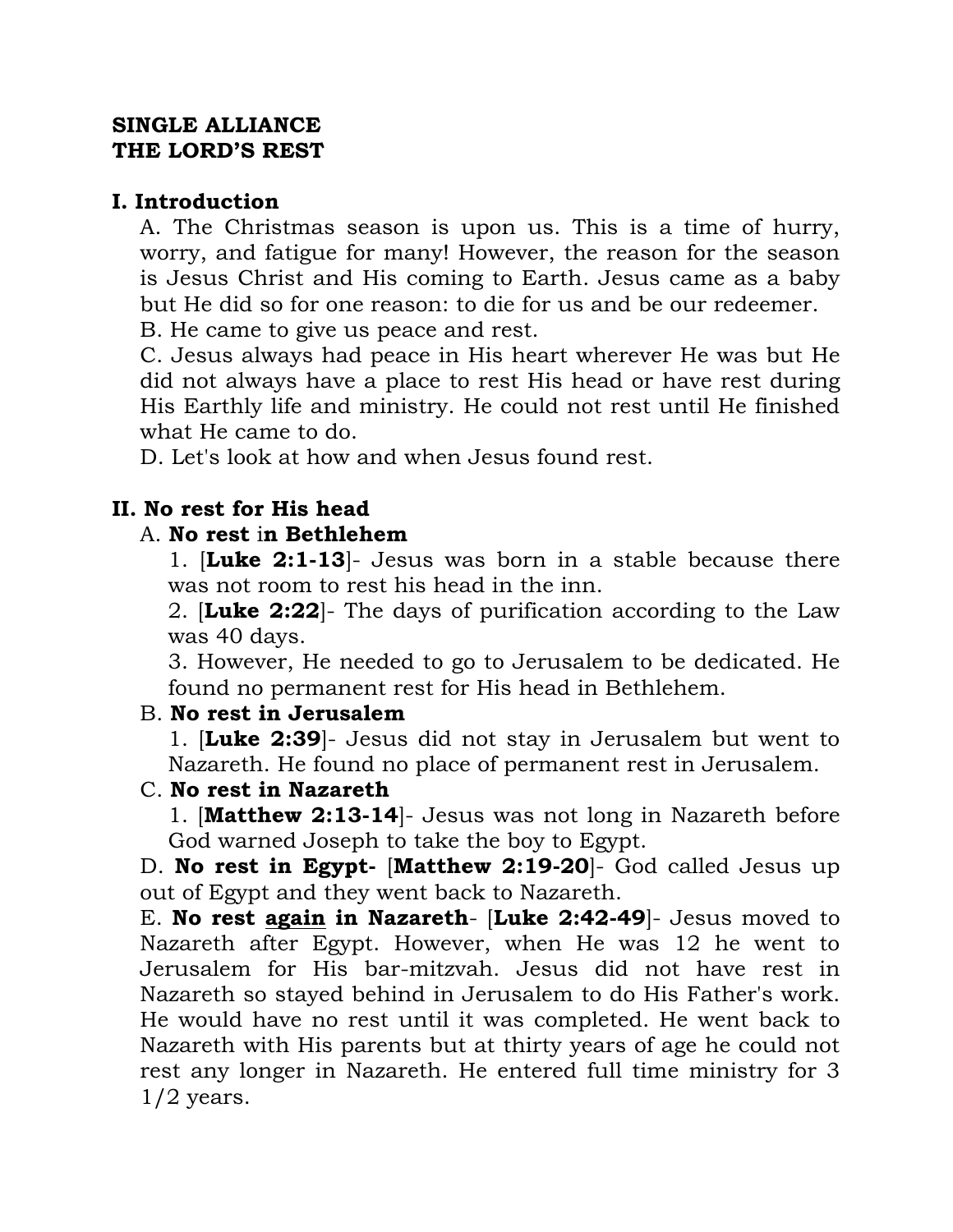#### **SINGLE ALLIANCE THE LORD'S REST**

#### **I. Introduction**

A. The Christmas season is upon us. This is a time of hurry, worry, and fatigue for many! However, the reason for the season is Jesus Christ and His coming to Earth. Jesus came as a baby but He did so for one reason: to die for us and be our redeemer.

B. He came to give us peace and rest.

C. Jesus always had peace in His heart wherever He was but He did not always have a place to rest His head or have rest during His Earthly life and ministry. He could not rest until He finished what He came to do.

D. Let's look at how and when Jesus found rest.

# **II. No rest for His head**

## A. **No rest** i**n Bethlehem**

1. [**Luke 2:1-13**]- Jesus was born in a stable because there was not room to rest his head in the inn.

2. [**Luke 2:22**]- The days of purification according to the Law was 40 days.

3. However, He needed to go to Jerusalem to be dedicated. He found no permanent rest for His head in Bethlehem.

## B. **No rest in Jerusalem**

1. [**Luke 2:39**]- Jesus did not stay in Jerusalem but went to Nazareth. He found no place of permanent rest in Jerusalem.

## C. **No rest in Nazareth**

1. [**Matthew 2:13-14**]- Jesus was not long in Nazareth before God warned Joseph to take the boy to Egypt.

D. **No rest in Egypt-** [**Matthew 2:19-20**]- God called Jesus up out of Egypt and they went back to Nazareth.

E. **No rest again in Nazareth**- [**Luke 2:42-49**]- Jesus moved to Nazareth after Egypt. However, when He was 12 he went to Jerusalem for His bar-mitzvah. Jesus did not have rest in Nazareth so stayed behind in Jerusalem to do His Father's work. He would have no rest until it was completed. He went back to Nazareth with His parents but at thirty years of age he could not rest any longer in Nazareth. He entered full time ministry for 3  $1/2$  years.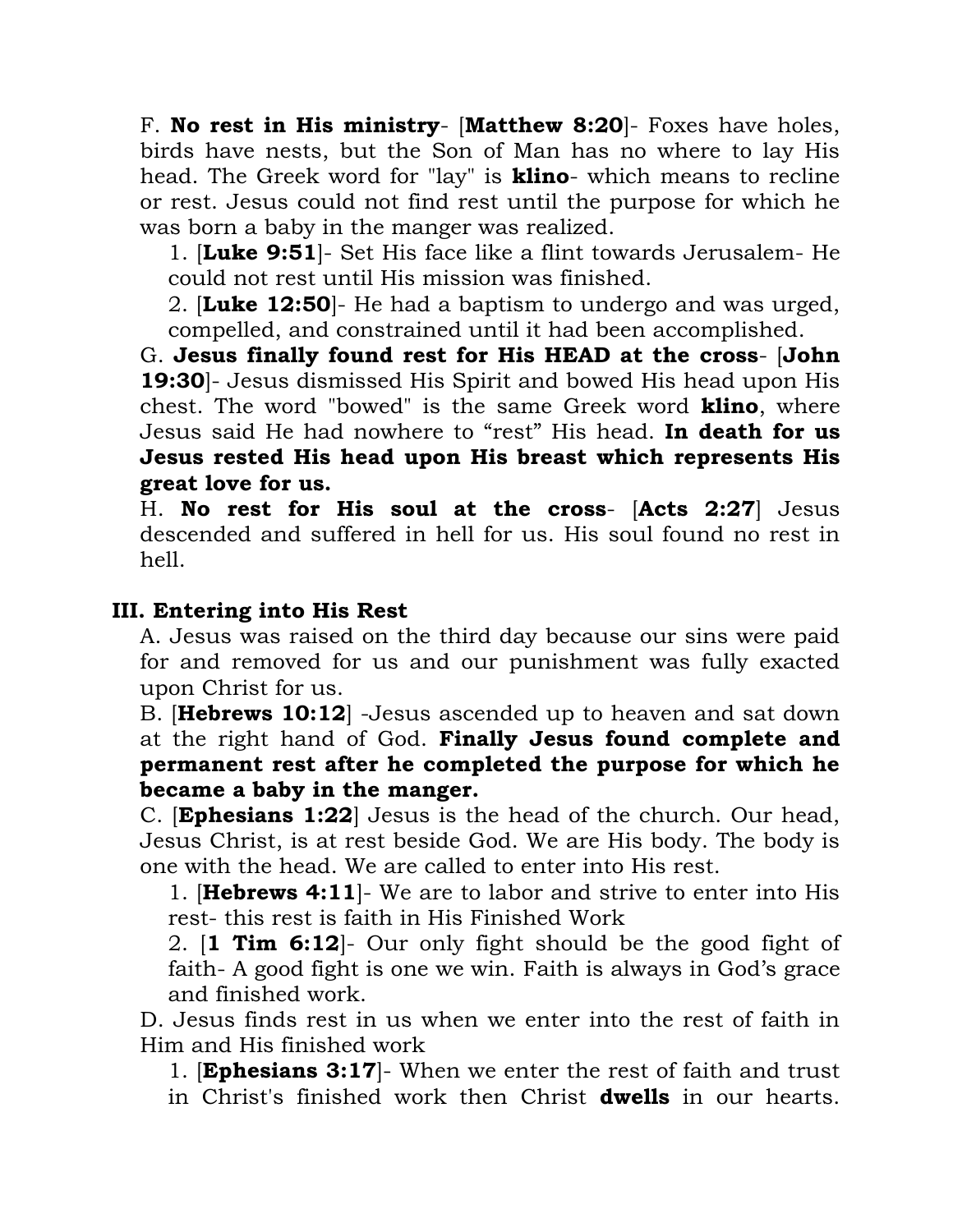F. **No rest in His ministry**- [**Matthew 8:20**]- Foxes have holes, birds have nests, but the Son of Man has no where to lay His head. The Greek word for "lay" is **klino**- which means to recline or rest. Jesus could not find rest until the purpose for which he was born a baby in the manger was realized.

1. [**Luke 9:51**]- Set His face like a flint towards Jerusalem- He could not rest until His mission was finished.

2. [**Luke 12:50**]- He had a baptism to undergo and was urged, compelled, and constrained until it had been accomplished.

G. **Jesus finally found rest for His HEAD at the cross**- [**John 19:30**]- Jesus dismissed His Spirit and bowed His head upon His chest. The word "bowed" is the same Greek word **klino**, where Jesus said He had nowhere to "rest" His head. **In death for us Jesus rested His head upon His breast which represents His great love for us.**

H. **No rest for His soul at the cross**- [**Acts 2:27**] Jesus descended and suffered in hell for us. His soul found no rest in hell.

#### **III. Entering into His Rest**

A. Jesus was raised on the third day because our sins were paid for and removed for us and our punishment was fully exacted upon Christ for us.

B. [**Hebrews 10:12**] -Jesus ascended up to heaven and sat down at the right hand of God. **Finally Jesus found complete and permanent rest after he completed the purpose for which he became a baby in the manger.** 

C. [**Ephesians 1:22**] Jesus is the head of the church. Our head, Jesus Christ, is at rest beside God. We are His body. The body is one with the head. We are called to enter into His rest.

1. [**Hebrews 4:11**]- We are to labor and strive to enter into His rest- this rest is faith in His Finished Work

2. [**1 Tim 6:12**]- Our only fight should be the good fight of faith- A good fight is one we win. Faith is always in God's grace and finished work.

D. Jesus finds rest in us when we enter into the rest of faith in Him and His finished work

1. [**Ephesians 3:17**]- When we enter the rest of faith and trust in Christ's finished work then Christ **dwells** in our hearts.